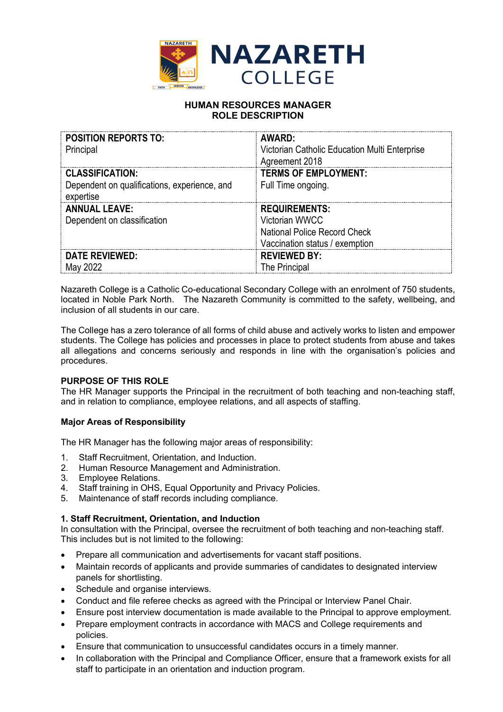

### **HUMAN RESOURCES MANAGER ROLE DESCRIPTION**

| <b>POSITION REPORTS TO:</b><br>Principal                  | AWARD:<br>Victorian Catholic Education Multi Enterprise<br>Agreement 2018 |
|-----------------------------------------------------------|---------------------------------------------------------------------------|
| <b>CLASSIFICATION:</b>                                    | <b>TERMS OF EMPLOYMENT:</b>                                               |
| Dependent on qualifications, experience, and<br>expertise | Full Time ongoing.                                                        |
| <b>ANNUAL LEAVE:</b>                                      | <b>REQUIREMENTS:</b>                                                      |
| Dependent on classification                               | Victorian WWCC                                                            |
|                                                           | National Police Record Check                                              |
|                                                           | Vaccination status / exemption                                            |
| <b>DATE REVIEWED:</b>                                     | <b>REVIEWED BY:</b>                                                       |
| May 2022                                                  | The Principal                                                             |

Nazareth College is a Catholic Co-educational Secondary College with an enrolment of 750 students, located in Noble Park North. The Nazareth Community is committed to the safety, wellbeing, and inclusion of all students in our care.

The College has a zero tolerance of all forms of child abuse and actively works to listen and empower students. The College has policies and processes in place to protect students from abuse and takes all allegations and concerns seriously and responds in line with the organisation's policies and procedures.

### **PURPOSE OF THIS ROLE**

The HR Manager supports the Principal in the recruitment of both teaching and non-teaching staff, and in relation to compliance, employee relations, and all aspects of staffing.

### **Major Areas of Responsibility**

The HR Manager has the following major areas of responsibility:

- 1. Staff Recruitment, Orientation, and Induction.
- 2. Human Resource Management and Administration.
- 
- 3. Employee Relations.<br>4. Staff training in OHS Staff training in OHS, Equal Opportunity and Privacy Policies.
- 5. Maintenance of staff records including compliance.

### **1. Staff Recruitment, Orientation, and Induction**

In consultation with the Principal, oversee the recruitment of both teaching and non-teaching staff. This includes but is not limited to the following:

- Prepare all communication and advertisements for vacant staff positions.
- Maintain records of applicants and provide summaries of candidates to designated interview panels for shortlisting.
- Schedule and organise interviews.
- Conduct and file referee checks as agreed with the Principal or Interview Panel Chair.
- Ensure post interview documentation is made available to the Principal to approve employment.
- Prepare employment contracts in accordance with MACS and College requirements and policies.
- Ensure that communication to unsuccessful candidates occurs in a timely manner.
- In collaboration with the Principal and Compliance Officer, ensure that a framework exists for all staff to participate in an orientation and induction program.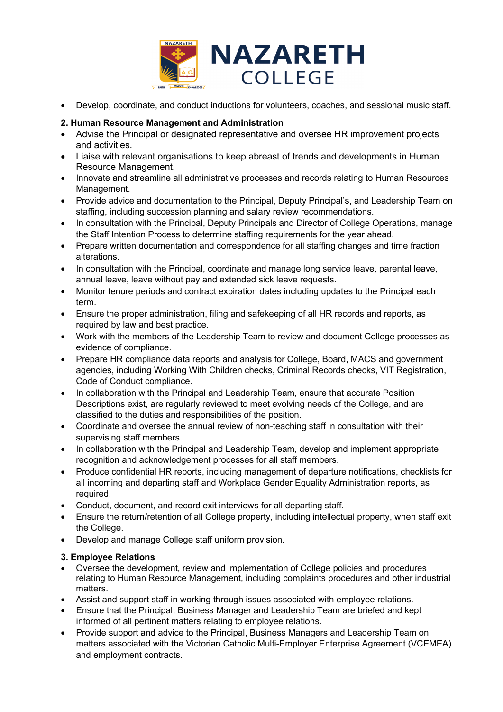

• Develop, coordinate, and conduct inductions for volunteers, coaches, and sessional music staff.

## **2. Human Resource Management and Administration**

- Advise the Principal or designated representative and oversee HR improvement projects and activities.
- Liaise with relevant organisations to keep abreast of trends and developments in Human Resource Management.
- Innovate and streamline all administrative processes and records relating to Human Resources Management.
- Provide advice and documentation to the Principal, Deputy Principal's, and Leadership Team on staffing, including succession planning and salary review recommendations.
- In consultation with the Principal, Deputy Principals and Director of College Operations, manage the Staff Intention Process to determine staffing requirements for the year ahead.
- Prepare written documentation and correspondence for all staffing changes and time fraction alterations.
- In consultation with the Principal, coordinate and manage long service leave, parental leave, annual leave, leave without pay and extended sick leave requests.
- Monitor tenure periods and contract expiration dates including updates to the Principal each term.
- Ensure the proper administration, filing and safekeeping of all HR records and reports, as required by law and best practice.
- Work with the members of the Leadership Team to review and document College processes as evidence of compliance.
- Prepare HR compliance data reports and analysis for College, Board, MACS and government agencies, including Working With Children checks, Criminal Records checks, VIT Registration, Code of Conduct compliance.
- In collaboration with the Principal and Leadership Team, ensure that accurate Position Descriptions exist, are regularly reviewed to meet evolving needs of the College, and are classified to the duties and responsibilities of the position.
- Coordinate and oversee the annual review of non-teaching staff in consultation with their supervising staff members.
- In collaboration with the Principal and Leadership Team, develop and implement appropriate recognition and acknowledgement processes for all staff members.
- Produce confidential HR reports, including management of departure notifications, checklists for all incoming and departing staff and Workplace Gender Equality Administration reports, as required.
- Conduct, document, and record exit interviews for all departing staff.
- Ensure the return/retention of all College property, including intellectual property, when staff exit the College.
- Develop and manage College staff uniform provision.

### **3. Employee Relations**

- Oversee the development, review and implementation of College policies and procedures relating to Human Resource Management, including complaints procedures and other industrial matters.
- Assist and support staff in working through issues associated with employee relations.
- Ensure that the Principal, Business Manager and Leadership Team are briefed and kept informed of all pertinent matters relating to employee relations.
- Provide support and advice to the Principal, Business Managers and Leadership Team on matters associated with the Victorian Catholic Multi-Employer Enterprise Agreement (VCEMEA) and employment contracts.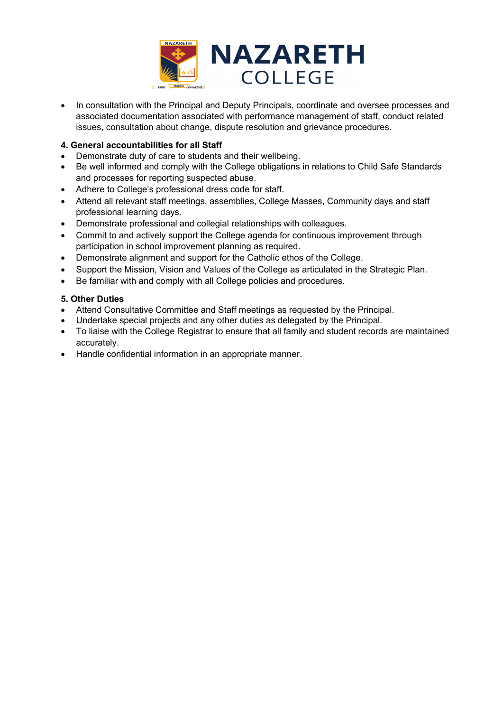

• In consultation with the Principal and Deputy Principals, coordinate and oversee processes and associated documentation associated with performance management of staff, conduct related issues, consultation about change, dispute resolution and grievance procedures.

### **4. General accountabilities for all Staff**

- Demonstrate duty of care to students and their wellbeing.
- Be well informed and comply with the College obligations in relations to Child Safe Standards and processes for reporting suspected abuse.
- Adhere to College's professional dress code for staff.
- Attend all relevant staff meetings, assemblies, College Masses, Community days and staff professional learning days.
- Demonstrate professional and collegial relationships with colleagues.
- Commit to and actively support the College agenda for continuous improvement through participation in school improvement planning as required.
- Demonstrate alignment and support for the Catholic ethos of the College.
- Support the Mission, Vision and Values of the College as articulated in the Strategic Plan.
- Be familiar with and comply with all College policies and procedures.

### **5. Other Duties**

- Attend Consultative Committee and Staff meetings as requested by the Principal.
- Undertake special projects and any other duties as delegated by the Principal.
- To liaise with the College Registrar to ensure that all family and student records are maintained accurately.
- Handle confidential information in an appropriate manner.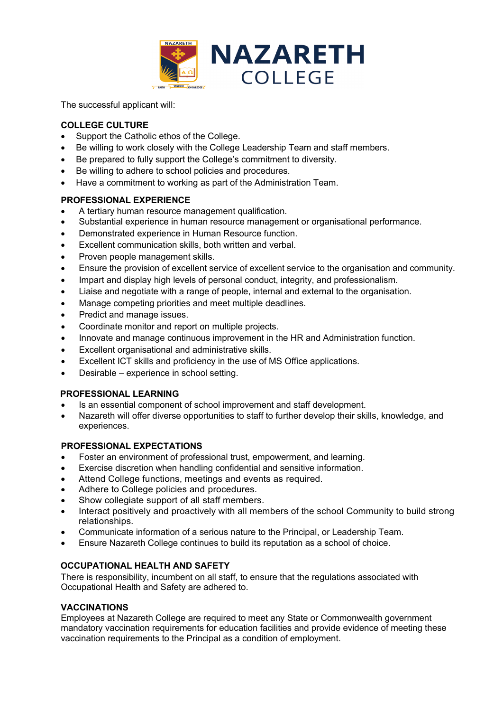

The successful applicant will:

## **COLLEGE CULTURE**

- Support the Catholic ethos of the College.
- Be willing to work closely with the College Leadership Team and staff members.
- Be prepared to fully support the College's commitment to diversity.
- Be willing to adhere to school policies and procedures.
- Have a commitment to working as part of the Administration Team.

## **PROFESSIONAL EXPERIENCE**

- A tertiary human resource management qualification.
- Substantial experience in human resource management or organisational performance.
- Demonstrated experience in Human Resource function.
- Excellent communication skills, both written and verbal.
- Proven people management skills.
- Ensure the provision of excellent service of excellent service to the organisation and community.
- Impart and display high levels of personal conduct, integrity, and professionalism.
- Liaise and negotiate with a range of people, internal and external to the organisation.
- Manage competing priorities and meet multiple deadlines.
- Predict and manage issues.
- Coordinate monitor and report on multiple projects.
- Innovate and manage continuous improvement in the HR and Administration function.
- Excellent organisational and administrative skills.
- Excellent ICT skills and proficiency in the use of MS Office applications.
- Desirable experience in school setting.

# **PROFESSIONAL LEARNING**

- Is an essential component of school improvement and staff development.
- Nazareth will offer diverse opportunities to staff to further develop their skills, knowledge, and experiences.

### **PROFESSIONAL EXPECTATIONS**

- Foster an environment of professional trust, empowerment, and learning.
- Exercise discretion when handling confidential and sensitive information.
- Attend College functions, meetings and events as required.
- Adhere to College policies and procedures.
- Show collegiate support of all staff members.
- Interact positively and proactively with all members of the school Community to build strong relationships.
- Communicate information of a serious nature to the Principal, or Leadership Team.
- Ensure Nazareth College continues to build its reputation as a school of choice.

# **OCCUPATIONAL HEALTH AND SAFETY**

There is responsibility, incumbent on all staff, to ensure that the regulations associated with Occupational Health and Safety are adhered to.

### **VACCINATIONS**

Employees at Nazareth College are required to meet any State or Commonwealth government mandatory vaccination requirements for education facilities and provide evidence of meeting these vaccination requirements to the Principal as a condition of employment.